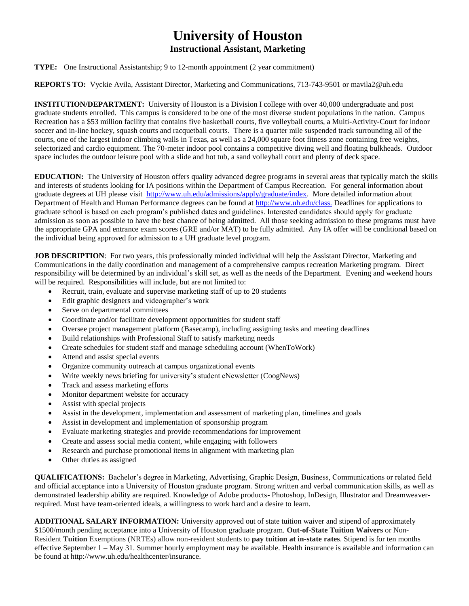## **University of Houston**

## **Instructional Assistant, Marketing**

## **TYPE:** One Instructional Assistantship; 9 to 12-month appointment (2 year commitment)

## **REPORTS TO:** Vyckie Avila, Assistant Director, Marketing and Communications, 713-743-9501 or mavila2@uh.edu

**INSTITUTION/DEPARTMENT:** University of Houston is a Division I college with over 40,000 undergraduate and post graduate students enrolled. This campus is considered to be one of the most diverse student populations in the nation. Campus Recreation has a \$53 million facility that contains five basketball courts, five volleyball courts, a Multi-Activity-Court for indoor soccer and in-line hockey, squash courts and racquetball courts. There is a quarter mile suspended track surrounding all of the courts, one of the largest indoor climbing walls in Texas, as well as a 24,000 square foot fitness zone containing free weights, selectorized and cardio equipment. The 70-meter indoor pool contains a competitive diving well and floating bulkheads. Outdoor space includes the outdoor leisure pool with a slide and hot tub, a sand volleyball court and plenty of deck space.

**EDUCATION:** The University of Houston offers quality advanced degree programs in several areas that typically match the skills and interests of students looking for IA positions within the Department of Campus Recreation. For general information about graduate degrees at UH please visit [http://www.uh.edu/admissions/apply/graduate/index.](http://www.uh.edu/admissions/apply/graduate/index) More detailed information about Department of Health and Human Performance degrees can be found at [http://www.uh.edu/class.](http://www.uh.edu/class) Deadlines for applications to graduate school is based on each program's published dates and guidelines. Interested candidates should apply for graduate admission as soon as possible to have the best chance of being admitted. All those seeking admission to these programs must have the appropriate GPA and entrance exam scores (GRE and/or MAT) to be fully admitted. Any IA offer will be conditional based on the individual being approved for admission to a UH graduate level program.

**JOB DESCRIPTION**: For two years, this professionally minded individual will help the Assistant Director, Marketing and Communications in the daily coordination and management of a comprehensive campus recreation Marketing program. Direct responsibility will be determined by an individual's skill set, as well as the needs of the Department. Evening and weekend hours will be required. Responsibilities will include, but are not limited to:

- Recruit, train, evaluate and supervise marketing staff of up to 20 students
- Edit graphic designers and videographer's work
- Serve on departmental committees
- Coordinate and/or facilitate development opportunities for student staff
- Oversee project management platform (Basecamp), including assigning tasks and meeting deadlines
- Build relationships with Professional Staff to satisfy marketing needs
- Create schedules for student staff and manage scheduling account (WhenToWork)
- Attend and assist special events
- Organize community outreach at campus organizational events
- Write weekly news briefing for university's student eNewsletter (CoogNews)
- Track and assess marketing efforts
- Monitor department website for accuracy
- Assist with special projects
- Assist in the development, implementation and assessment of marketing plan, timelines and goals
- Assist in development and implementation of sponsorship program
- Evaluate marketing strategies and provide recommendations for improvement
- Create and assess social media content, while engaging with followers
- Research and purchase promotional items in alignment with marketing plan
- Other duties as assigned

**QUALIFICATIONS:** Bachelor's degree in Marketing, Advertising, Graphic Design, Business, Communications or related field and official acceptance into a University of Houston graduate program. Strong written and verbal communication skills, as well as demonstrated leadership ability are required. Knowledge of Adobe products- Photoshop, InDesign, Illustrator and Dreamweaverrequired. Must have team-oriented ideals, a willingness to work hard and a desire to learn.

**ADDITIONAL SALARY INFORMATION:** University approved out of state tuition waiver and stipend of approximately \$1500/month pending acceptance into a University of Houston graduate program. **Out-of-State Tuition Waivers** or Non-Resident **Tuition** Exemptions (NRTEs) allow non-resident students to **pay tuition at in-state rates**. Stipend is for ten months effective September 1 – May 31. Summer hourly employment may be available. Health insurance is available and information can be found at http://www.uh.edu/healthcenter/insurance.